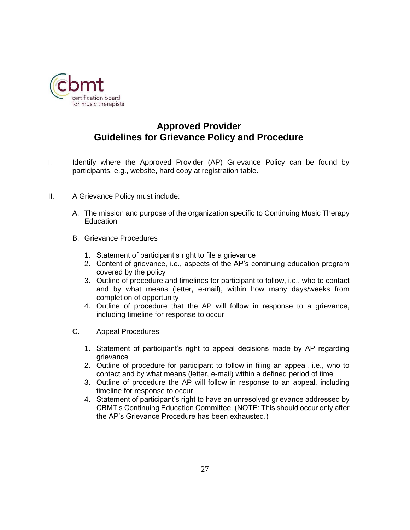

## **Approved Provider Guidelines for Grievance Policy and Procedure**

- I. Identify where the Approved Provider (AP) Grievance Policy can be found by participants, e.g., website, hard copy at registration table.
- II. A Grievance Policy must include:
	- A. The mission and purpose of the organization specific to Continuing Music Therapy **Education**
	- B. Grievance Procedures
		- 1. Statement of participant's right to file a grievance
		- 2. Content of grievance, i.e., aspects of the AP's continuing education program covered by the policy
		- 3. Outline of procedure and timelines for participant to follow, i.e., who to contact and by what means (letter, e-mail), within how many days/weeks from completion of opportunity
		- 4. Outline of procedure that the AP will follow in response to a grievance, including timeline for response to occur
	- C. Appeal Procedures
		- 1. Statement of participant's right to appeal decisions made by AP regarding grievance
		- 2. Outline of procedure for participant to follow in filing an appeal, i.e., who to contact and by what means (letter, e-mail) within a defined period of time
		- 3. Outline of procedure the AP will follow in response to an appeal, including timeline for response to occur
		- 4. Statement of participant's right to have an unresolved grievance addressed by CBMT's Continuing Education Committee. (NOTE: This should occur only after the AP's Grievance Procedure has been exhausted.)